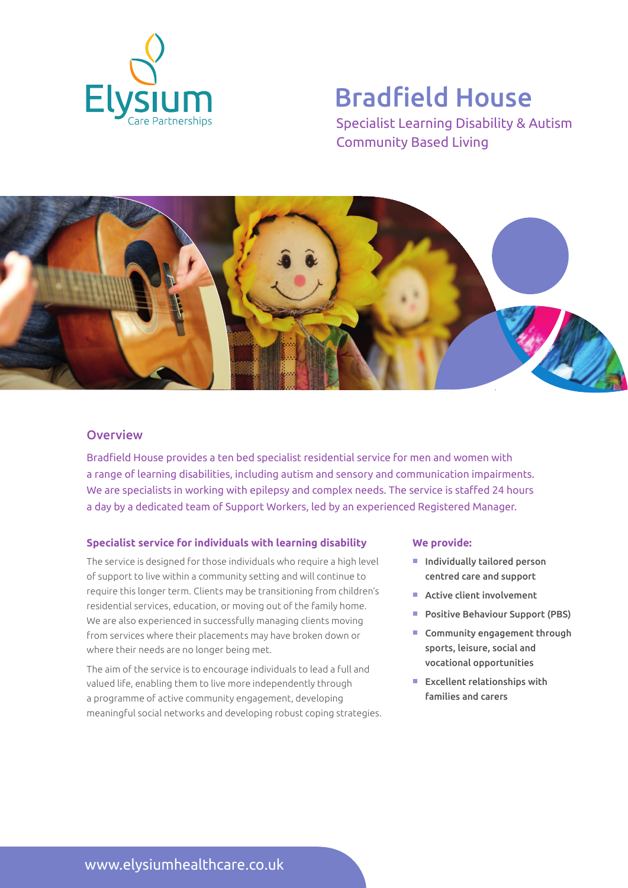

# Bradfield House

Specialist Learning Disability & Autism Community Based Living



### **Overview**

Bradfield House provides a ten bed specialist residential service for men and women with a range of learning disabilities, including autism and sensory and communication impairments. We are specialists in working with epilepsy and complex needs. The service is staffed 24 hours a day by a dedicated team of Support Workers, led by an experienced Registered Manager.

#### **Specialist service for individuals with learning disability**

The service is designed for those individuals who require a high level of support to live within a community setting and will continue to require this longer term. Clients may be transitioning from children's residential services, education, or moving out of the family home. We are also experienced in successfully managing clients moving from services where their placements may have broken down or where their needs are no longer being met.

The aim of the service is to encourage individuals to lead a full and valued life, enabling them to live more independently through a programme of active community engagement, developing meaningful social networks and developing robust coping strategies.

#### **We provide:**

- $\blacksquare$  Individually tailored person centred care and support
- $\blacksquare$  Active client involvement
- **Positive Behaviour Support (PBS)**
- $\blacksquare$  Community engagement through sports, leisure, social and vocational opportunities
- $\blacksquare$  Excellent relationships with families and carers